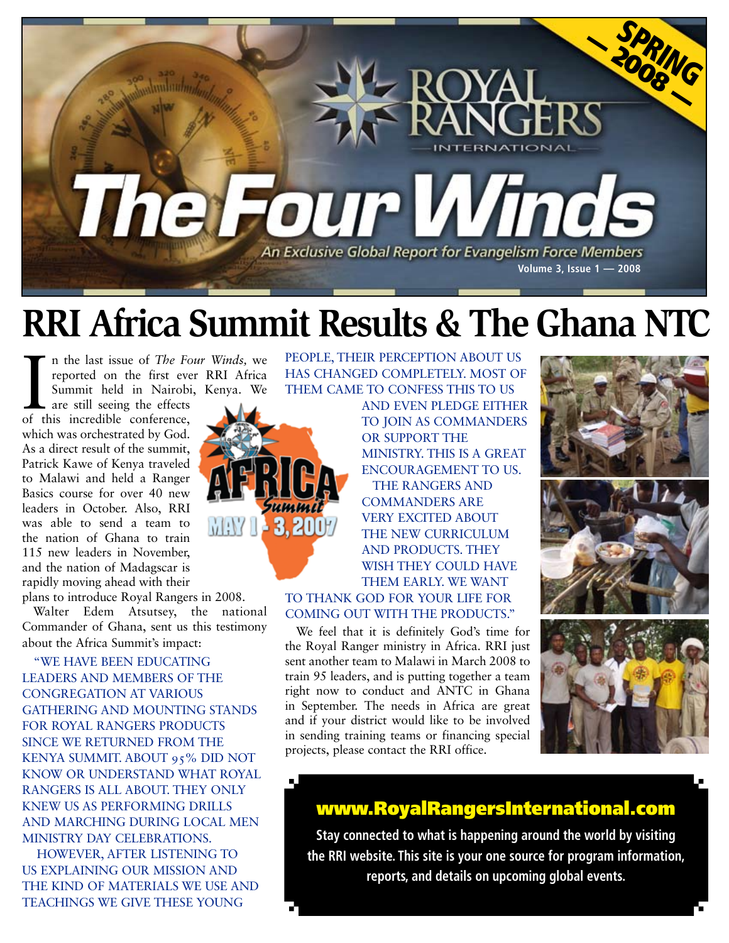

# **RRI Africa Summit Results & The Ghana NTC**

In the last issue of *The Fo*<br>reported on the first eve<br>Summit held in Nairobi<br>are still seeing the effects<br>of this incredible conference, n the last issue of *The Four Winds,* we reported on the first ever RRI Africa Summit held in Nairobi, Kenya. We

are still seeing the effects which was orchestrated by God. As a direct result of the summit, Patrick Kawe of Kenya traveled to Malawi and held a Ranger Basics course for over 40 new leaders in October. Also, RRI was able to send a team to the nation of Ghana to train 115 new leaders in November, and the nation of Madagscar is rapidly moving ahead with their

plans to introduce Royal Rangers in 2008. Walter Edem Atsutsey, the national Commander of Ghana, sent us this testimony about the Africa Summit's impact:

"WE HAVE BEEN EDUCATING LEADERS AND MEMBERS OF THE CONGREGATION AT VARIOUS GATHERING AND MOUNTING STANDS FOR ROYAL RANGERS PRODUCTS SINCE WE RETURNED FROM THE KENYA SUMMIT. ABOUT 95% DID NOT KNOW OR UNDERSTAND WHAT ROYAL RANGERS IS ALL ABOUT. THEY ONLY KNEW US AS PERFORMING DRILLS AND MARCHING DURING LOCAL MEN MINISTRY DAY CELEBRATIONS.

 HOWEVER, AFTER LISTENING TO US EXPLAINING OUR MISSION AND THE KIND OF MATERIALS WE USE AND TEACHINGS WE GIVE THESE YOUNG

PEOPLE, THEIR PERCEPTION ABOUT US HAS CHANGED COMPLETELY. MOST OF THEM CAME TO CONFESS THIS TO US



AND EVEN PLEDGE EITHER TO JOIN AS COMMANDERS OR SUPPORT THE MINISTRY. THIS IS A GREAT ENCOURAGEMENT TO US. THE RANGERS AND COMMANDERS ARE VERY EXCITED ABOUT THE NEW CURRICULUM AND PRODUCTS. THEY WISH THEY COULD HAVE THEM EARLY. WE WANT

TO THANK GOD FOR YOUR LIFE FOR COMING OUT WITH THE PRODUCTS."

We feel that it is definitely God's time for the Royal Ranger ministry in Africa. RRI just sent another team to Malawi in March 2008 to train 95 leaders, and is putting together a team right now to conduct and ANTC in Ghana in September. The needs in Africa are great and if your district would like to be involved in sending training teams or financing special projects, please contact the RRI office.





### www.RoyalRangersInternational.com

**Stay connected to what is happening around the world by visiting the RRI website. This site is your one source for program information, reports, and details on upcoming global events.**